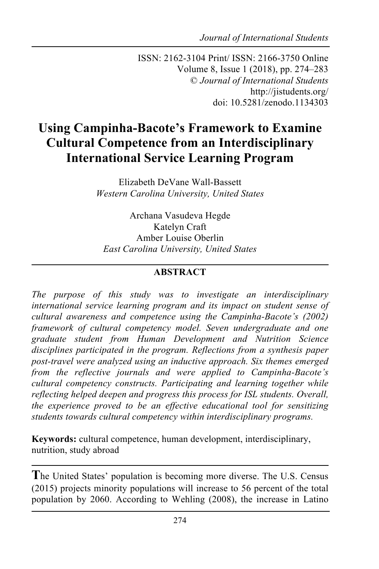*Journal of International Students*

ISSN: 2162-3104 Print/ ISSN: 2166-3750 Online Volume 8, Issue 1 (2018), pp. 274–283 © *Journal of International Students* http://jistudents.org/ doi: 10.5281/zenodo.1134303

# **Using Campinha-Bacote's Framework to Examine Cultural Competence from an Interdisciplinary International Service Learning Program**

Elizabeth DeVane Wall-Bassett *Western Carolina University, United States*

Archana Vasudeva Hegde Katelyn Craft Amber Louise Oberlin *East Carolina University, United States*

#### **ABSTRACT**

*The purpose of this study was to investigate an interdisciplinary international service learning program and its impact on student sense of cultural awareness and competence using the Campinha-Bacote's (2002) framework of cultural competency model. Seven undergraduate and one graduate student from Human Development and Nutrition Science disciplines participated in the program. Reflections from a synthesis paper post-travel were analyzed using an inductive approach. Six themes emerged from the reflective journals and were applied to Campinha-Bacote's cultural competency constructs. Participating and learning together while reflecting helped deepen and progress this process for ISL students. Overall, the experience proved to be an effective educational tool for sensitizing students towards cultural competency within interdisciplinary programs.*

**Keywords:** cultural competence, human development, interdisciplinary, nutrition, study abroad

**T**he United States' population is becoming more diverse. The U.S. Census (2015) projects minority populations will increase to 56 percent of the total population by 2060. According to Wehling (2008), the increase in Latino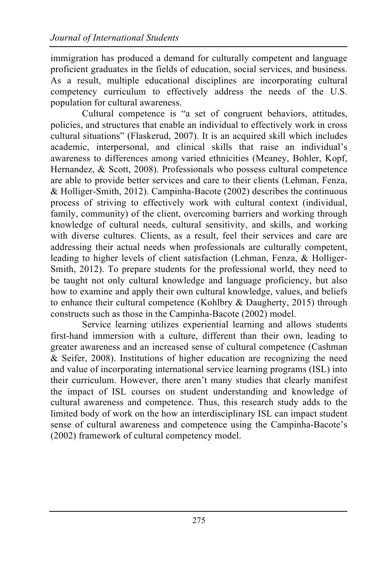immigration has produced a demand for culturally competent and language proficient graduates in the fields of education, social services, and business. As a result, multiple educational disciplines are incorporating cultural competency curriculum to effectively address the needs of the U.S. population for cultural awareness.

Cultural competence is "a set of congruent behaviors, attitudes, policies, and structures that enable an individual to effectively work in cross cultural situations" (Flaskerud, 2007). It is an acquired skill which includes academic, interpersonal, and clinical skills that raise an individual's awareness to differences among varied ethnicities (Meaney, Bohler, Kopf, Hernandez, & Scott, 2008). Professionals who possess cultural competence are able to provide better services and care to their clients (Lehman, Fenza, & Holliger-Smith, 2012). Campinha-Bacote (2002) describes the continuous process of striving to effectively work with cultural context (individual, family, community) of the client, overcoming barriers and working through knowledge of cultural needs, cultural sensitivity, and skills, and working with diverse cultures. Clients, as a result, feel their services and care are addressing their actual needs when professionals are culturally competent, leading to higher levels of client satisfaction (Lehman, Fenza, & Holliger-Smith, 2012). To prepare students for the professional world, they need to be taught not only cultural knowledge and language proficiency, but also how to examine and apply their own cultural knowledge, values, and beliefs to enhance their cultural competence (Kohlbry & Daugherty, 2015) through constructs such as those in the Campinha-Bacote (2002) model.

Service learning utilizes experiential learning and allows students first-hand immersion with a culture, different than their own, leading to greater awareness and an increased sense of cultural competence (Cashman & Seifer, 2008). Institutions of higher education are recognizing the need and value of incorporating international service learning programs (ISL) into their curriculum. However, there aren't many studies that clearly manifest the impact of ISL courses on student understanding and knowledge of cultural awareness and competence. Thus, this research study adds to the limited body of work on the how an interdisciplinary ISL can impact student sense of cultural awareness and competence using the Campinha-Bacote's (2002) framework of cultural competency model.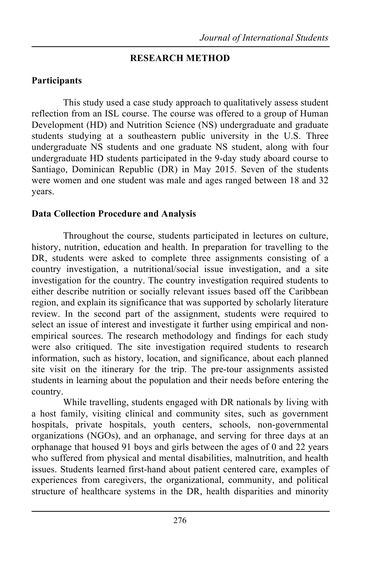## **RESEARCH METHOD**

# **Participants**

This study used a case study approach to qualitatively assess student reflection from an ISL course. The course was offered to a group of Human Development (HD) and Nutrition Science (NS) undergraduate and graduate students studying at a southeastern public university in the U.S. Three undergraduate NS students and one graduate NS student, along with four undergraduate HD students participated in the 9-day study aboard course to Santiago, Dominican Republic (DR) in May 2015. Seven of the students were women and one student was male and ages ranged between 18 and 32 years.

## **Data Collection Procedure and Analysis**

Throughout the course, students participated in lectures on culture, history, nutrition, education and health. In preparation for travelling to the DR, students were asked to complete three assignments consisting of a country investigation, a nutritional/social issue investigation, and a site investigation for the country. The country investigation required students to either describe nutrition or socially relevant issues based off the Caribbean region, and explain its significance that was supported by scholarly literature review. In the second part of the assignment, students were required to select an issue of interest and investigate it further using empirical and nonempirical sources. The research methodology and findings for each study were also critiqued. The site investigation required students to research information, such as history, location, and significance, about each planned site visit on the itinerary for the trip. The pre-tour assignments assisted students in learning about the population and their needs before entering the country.

While travelling, students engaged with DR nationals by living with a host family, visiting clinical and community sites, such as government hospitals, private hospitals, youth centers, schools, non-governmental organizations (NGOs), and an orphanage, and serving for three days at an orphanage that housed 91 boys and girls between the ages of 0 and 22 years who suffered from physical and mental disabilities, malnutrition, and health issues. Students learned first-hand about patient centered care, examples of experiences from caregivers, the organizational, community, and political structure of healthcare systems in the DR, health disparities and minority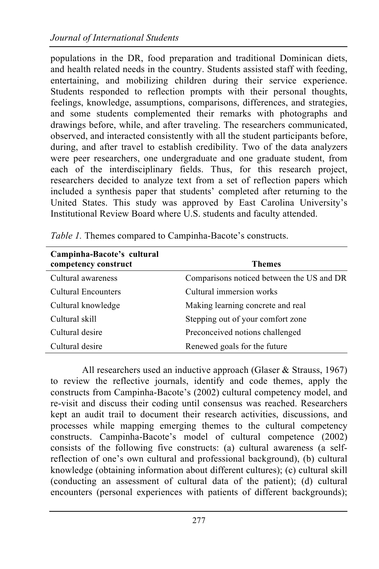populations in the DR, food preparation and traditional Dominican diets, and health related needs in the country. Students assisted staff with feeding, entertaining, and mobilizing children during their service experience. Students responded to reflection prompts with their personal thoughts, feelings, knowledge, assumptions, comparisons, differences, and strategies, and some students complemented their remarks with photographs and drawings before, while, and after traveling. The researchers communicated, observed, and interacted consistently with all the student participants before, during, and after travel to establish credibility. Two of the data analyzers were peer researchers, one undergraduate and one graduate student, from each of the interdisciplinary fields. Thus, for this research project, researchers decided to analyze text from a set of reflection papers which included a synthesis paper that students' completed after returning to the United States. This study was approved by East Carolina University's Institutional Review Board where U.S. students and faculty attended.

| Campinha-Bacote's cultural<br>competency construct | <b>Themes</b>                             |
|----------------------------------------------------|-------------------------------------------|
| Cultural awareness                                 | Comparisons noticed between the US and DR |
| Cultural Encounters                                | Cultural immersion works                  |
| Cultural knowledge                                 | Making learning concrete and real         |
| Cultural skill                                     | Stepping out of your comfort zone         |
| Cultural desire                                    | Preconceived notions challenged           |
| Cultural desire                                    | Renewed goals for the future              |

*Table 1.* Themes compared to Campinha-Bacote's constructs.

All researchers used an inductive approach (Glaser & Strauss, 1967) to review the reflective journals, identify and code themes, apply the constructs from Campinha-Bacote's (2002) cultural competency model, and re-visit and discuss their coding until consensus was reached. Researchers kept an audit trail to document their research activities, discussions, and processes while mapping emerging themes to the cultural competency constructs. Campinha-Bacote's model of cultural competence (2002) consists of the following five constructs: (a) cultural awareness (a selfreflection of one's own cultural and professional background), (b) cultural knowledge (obtaining information about different cultures); (c) cultural skill (conducting an assessment of cultural data of the patient); (d) cultural encounters (personal experiences with patients of different backgrounds);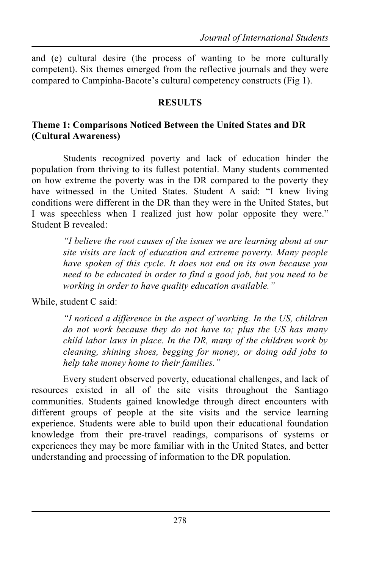and (e) cultural desire (the process of wanting to be more culturally competent). Six themes emerged from the reflective journals and they were compared to Campinha-Bacote's cultural competency constructs (Fig 1).

## **RESULTS**

## **Theme 1: Comparisons Noticed Between the United States and DR (Cultural Awareness)**

Students recognized poverty and lack of education hinder the population from thriving to its fullest potential. Many students commented on how extreme the poverty was in the DR compared to the poverty they have witnessed in the United States. Student A said: "I knew living conditions were different in the DR than they were in the United States, but I was speechless when I realized just how polar opposite they were." Student B revealed:

> *"I believe the root causes of the issues we are learning about at our site visits are lack of education and extreme poverty. Many people have spoken of this cycle. It does not end on its own because you need to be educated in order to find a good job, but you need to be working in order to have quality education available."*

While, student C said:

*"I noticed a difference in the aspect of working. In the US, children do not work because they do not have to; plus the US has many child labor laws in place. In the DR, many of the children work by cleaning, shining shoes, begging for money, or doing odd jobs to help take money home to their families."*

Every student observed poverty, educational challenges, and lack of resources existed in all of the site visits throughout the Santiago communities. Students gained knowledge through direct encounters with different groups of people at the site visits and the service learning experience. Students were able to build upon their educational foundation knowledge from their pre-travel readings, comparisons of systems or experiences they may be more familiar with in the United States, and better understanding and processing of information to the DR population.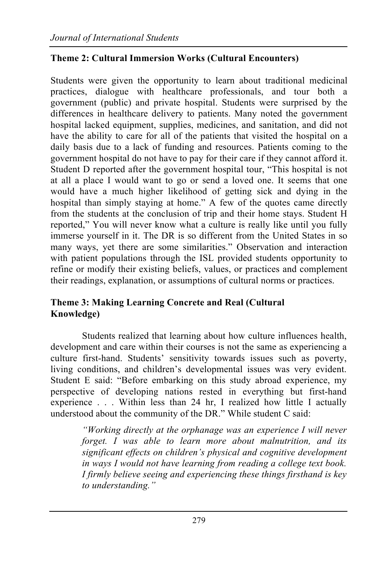## **Theme 2: Cultural Immersion Works (Cultural Encounters)**

Students were given the opportunity to learn about traditional medicinal practices, dialogue with healthcare professionals, and tour both a government (public) and private hospital. Students were surprised by the differences in healthcare delivery to patients. Many noted the government hospital lacked equipment, supplies, medicines, and sanitation, and did not have the ability to care for all of the patients that visited the hospital on a daily basis due to a lack of funding and resources. Patients coming to the government hospital do not have to pay for their care if they cannot afford it. Student D reported after the government hospital tour, "This hospital is not at all a place I would want to go or send a loved one. It seems that one would have a much higher likelihood of getting sick and dying in the hospital than simply staying at home." A few of the quotes came directly from the students at the conclusion of trip and their home stays. Student H reported," You will never know what a culture is really like until you fully immerse yourself in it. The DR is so different from the United States in so many ways, yet there are some similarities." Observation and interaction with patient populations through the ISL provided students opportunity to refine or modify their existing beliefs, values, or practices and complement their readings, explanation, or assumptions of cultural norms or practices.

#### **Theme 3: Making Learning Concrete and Real (Cultural Knowledge)**

Students realized that learning about how culture influences health, development and care within their courses is not the same as experiencing a culture first-hand. Students' sensitivity towards issues such as poverty, living conditions, and children's developmental issues was very evident. Student E said: "Before embarking on this study abroad experience, my perspective of developing nations rested in everything but first-hand experience . . . Within less than 24 hr, I realized how little I actually understood about the community of the DR." While student C said:

> *"Working directly at the orphanage was an experience I will never forget. I was able to learn more about malnutrition, and its significant effects on children's physical and cognitive development in ways I would not have learning from reading a college text book. I firmly believe seeing and experiencing these things firsthand is key to understanding."*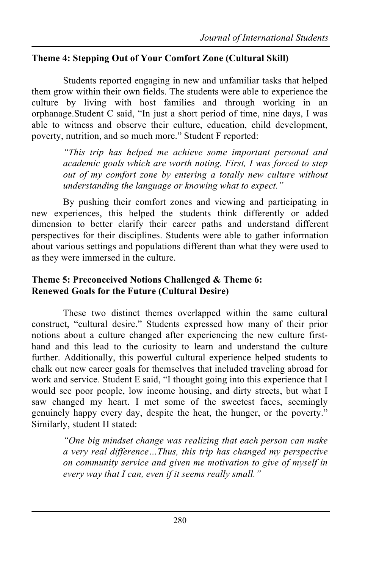## **Theme 4: Stepping Out of Your Comfort Zone (Cultural Skill)**

Students reported engaging in new and unfamiliar tasks that helped them grow within their own fields. The students were able to experience the culture by living with host families and through working in an orphanage.Student C said, "In just a short period of time, nine days, I was able to witness and observe their culture, education, child development, poverty, nutrition, and so much more." Student F reported:

> *"This trip has helped me achieve some important personal and academic goals which are worth noting. First, I was forced to step out of my comfort zone by entering a totally new culture without understanding the language or knowing what to expect."*

By pushing their comfort zones and viewing and participating in new experiences, this helped the students think differently or added dimension to better clarify their career paths and understand different perspectives for their disciplines. Students were able to gather information about various settings and populations different than what they were used to as they were immersed in the culture.

#### **Theme 5: Preconceived Notions Challenged & Theme 6: Renewed Goals for the Future (Cultural Desire)**

These two distinct themes overlapped within the same cultural construct, "cultural desire." Students expressed how many of their prior notions about a culture changed after experiencing the new culture firsthand and this lead to the curiosity to learn and understand the culture further. Additionally, this powerful cultural experience helped students to chalk out new career goals for themselves that included traveling abroad for work and service. Student E said, "I thought going into this experience that I would see poor people, low income housing, and dirty streets, but what I saw changed my heart. I met some of the sweetest faces, seemingly genuinely happy every day, despite the heat, the hunger, or the poverty." Similarly, student H stated:

> *"One big mindset change was realizing that each person can make a very real difference…Thus, this trip has changed my perspective on community service and given me motivation to give of myself in every way that I can, even if it seems really small."*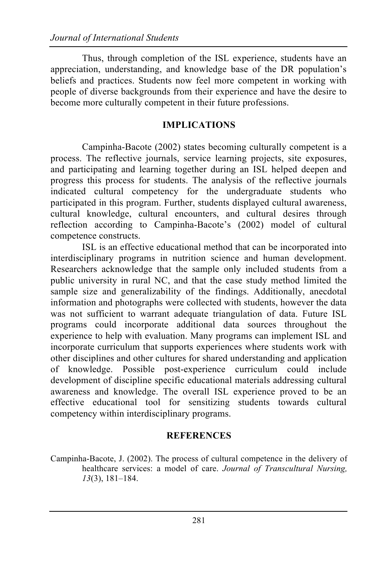Thus, through completion of the ISL experience, students have an appreciation, understanding, and knowledge base of the DR population's beliefs and practices. Students now feel more competent in working with people of diverse backgrounds from their experience and have the desire to become more culturally competent in their future professions.

#### **IMPLICATIONS**

Campinha-Bacote (2002) states becoming culturally competent is a process. The reflective journals, service learning projects, site exposures, and participating and learning together during an ISL helped deepen and progress this process for students. The analysis of the reflective journals indicated cultural competency for the undergraduate students who participated in this program. Further, students displayed cultural awareness, cultural knowledge, cultural encounters, and cultural desires through reflection according to Campinha-Bacote's (2002) model of cultural competence constructs.

ISL is an effective educational method that can be incorporated into interdisciplinary programs in nutrition science and human development. Researchers acknowledge that the sample only included students from a public university in rural NC, and that the case study method limited the sample size and generalizability of the findings. Additionally, anecdotal information and photographs were collected with students, however the data was not sufficient to warrant adequate triangulation of data. Future ISL programs could incorporate additional data sources throughout the experience to help with evaluation. Many programs can implement ISL and incorporate curriculum that supports experiences where students work with other disciplines and other cultures for shared understanding and application of knowledge. Possible post-experience curriculum could include development of discipline specific educational materials addressing cultural awareness and knowledge. The overall ISL experience proved to be an effective educational tool for sensitizing students towards cultural competency within interdisciplinary programs.

#### **REFERENCES**

Campinha-Bacote, J. (2002). The process of cultural competence in the delivery of healthcare services: a model of care. *Journal of Transcultural Nursing, 13*(3), 181–184.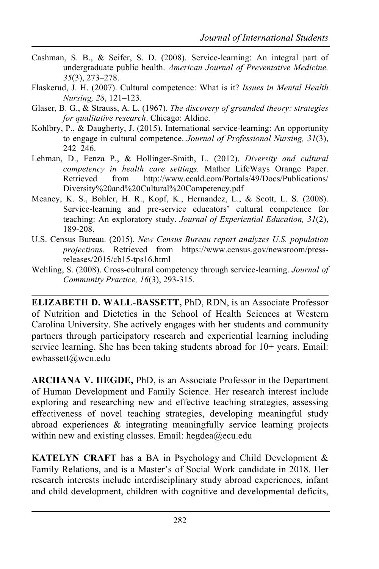- Cashman, S. B., & Seifer, S. D. (2008). Service-learning: An integral part of undergraduate public health. *American Journal of Preventative Medicine, 35*(3), 273–278.
- Flaskerud, J. H. (2007). Cultural competence: What is it? *Issues in Mental Health Nursing, 28*, 121–123.
- Glaser, B. G., & Strauss, A. L. (1967). *The discovery of grounded theory: strategies for qualitative research*. Chicago: Aldine.
- Kohlbry, P., & Daugherty, J. (2015). International service-learning: An opportunity to engage in cultural competence. *Journal of Professional Nursing, 31*(3), 242–246.
- Lehman, D., Fenza P., & Hollinger-Smith, L. (2012). *Diversity and cultural competency in health care settings.* Mather LifeWays Orange Paper. Retrieved from http://www.ecald.com/Portals/49/Docs/Publications/ Diversity%20and%20Cultural%20Competency.pdf
- Meaney, K. S., Bohler, H. R., Kopf, K., Hernandez, L., & Scott, L. S. (2008). Service-learning and pre-service educators' cultural competence for teaching: An exploratory study. *Journal of Experiential Education, 31*(2), 189-208.
- U.S. Census Bureau. (2015). *New Census Bureau report analyzes U.S. population projections.* Retrieved from https://www.census.gov/newsroom/pressreleases/2015/cb15-tps16.html
- Wehling, S. (2008). Cross-cultural competency through service-learning. *Journal of Community Practice, 16*(3), 293-315.

**ELIZABETH D. WALL-BASSETT,** PhD, RDN, is an Associate Professor of Nutrition and Dietetics in the School of Health Sciences at Western Carolina University. She actively engages with her students and community partners through participatory research and experiential learning including service learning. She has been taking students abroad for  $10+$  years. Email: ewbassett@wcu.edu

**ARCHANA V. HEGDE,** PhD, is an Associate Professor in the Department of Human Development and Family Science. Her research interest include exploring and researching new and effective teaching strategies, assessing effectiveness of novel teaching strategies, developing meaningful study abroad experiences & integrating meaningfully service learning projects within new and existing classes. Email: hegdea@ecu.edu

**KATELYN CRAFT** has a BA in Psychology and Child Development & Family Relations, and is a Master's of Social Work candidate in 2018. Her research interests include interdisciplinary study abroad experiences, infant and child development, children with cognitive and developmental deficits,